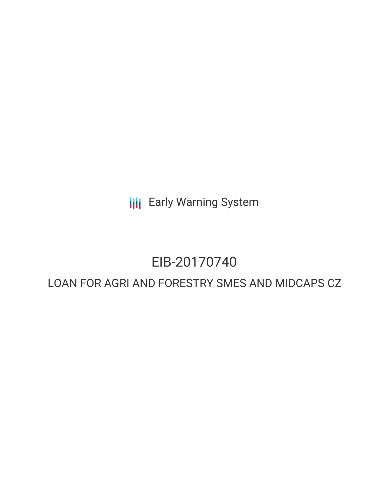**III** Early Warning System

# EIB-20170740

# LOAN FOR AGRI AND FORESTRY SMES AND MIDCAPS CZ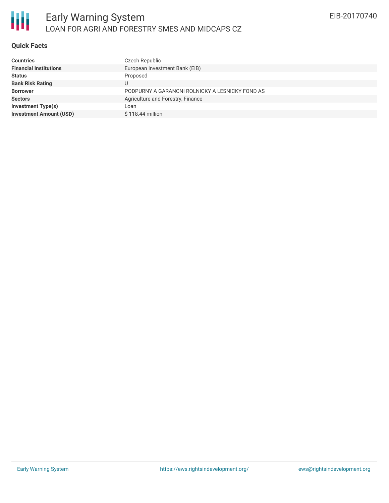

## **Quick Facts**

| <b>Countries</b>               | Czech Republic                                  |
|--------------------------------|-------------------------------------------------|
| <b>Financial Institutions</b>  | European Investment Bank (EIB)                  |
| <b>Status</b>                  | Proposed                                        |
| <b>Bank Risk Rating</b>        | U                                               |
| <b>Borrower</b>                | PODPURNY A GARANCNI ROLNICKY A LESNICKY FOND AS |
| <b>Sectors</b>                 | Agriculture and Forestry, Finance               |
| <b>Investment Type(s)</b>      | Loan                                            |
| <b>Investment Amount (USD)</b> | $$118.44$ million                               |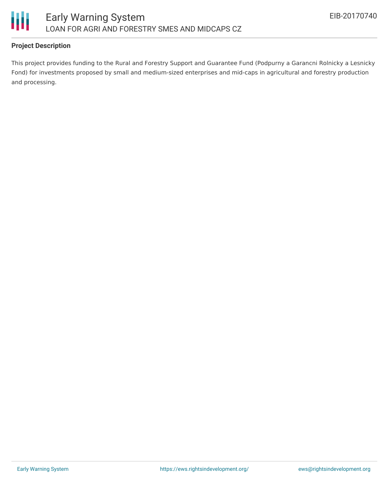

# **Project Description**

This project provides funding to the Rural and Forestry Support and Guarantee Fund (Podpurny a Garancni Rolnicky a Lesnicky Fond) for investments proposed by small and medium-sized enterprises and mid-caps in agricultural and forestry production and processing.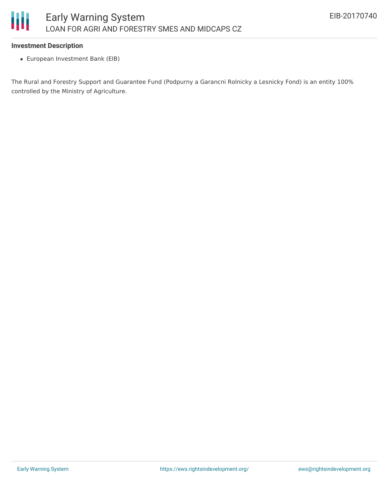### **Investment Description**

European Investment Bank (EIB)

The Rural and Forestry Support and Guarantee Fund (Podpurny a Garancni Rolnicky a Lesnicky Fond) is an entity 100% controlled by the Ministry of Agriculture.